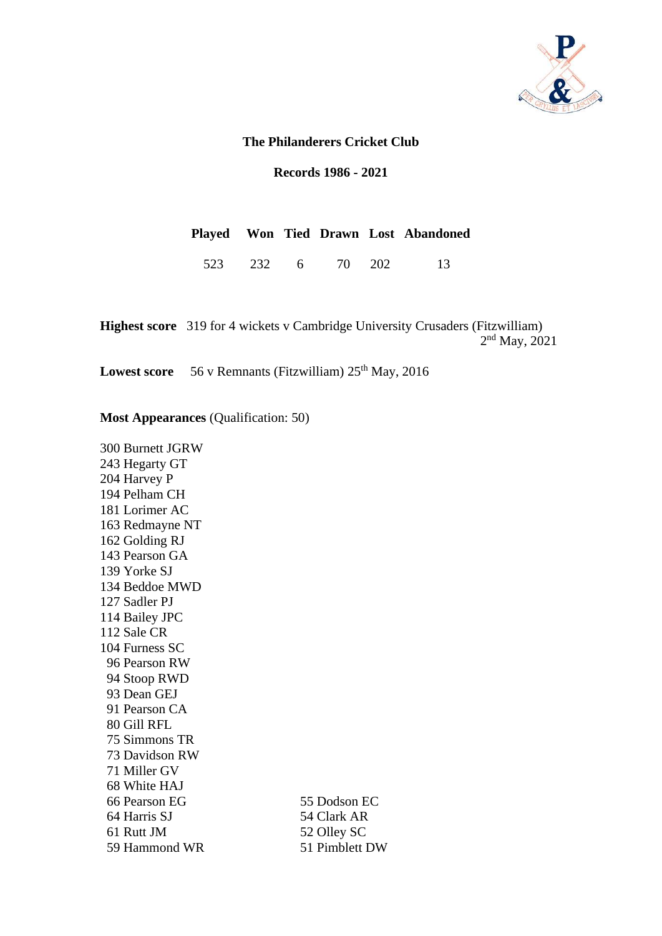

### **The Philanderers Cricket Club**

**Records 1986 - 2021**

|  |  |  | Played Won Tied Drawn Lost Abandoned |
|--|--|--|--------------------------------------|
|  |  |  | 523 232 6 70 202 13                  |

**Highest score** 319 for 4 wickets v Cambridge University Crusaders (Fitzwilliam) 2<sup>nd</sup> May, 2021

**Lowest score** 56 v Remnants (Fitzwilliam)  $25<sup>th</sup>$  May, 2016

#### **Most Appearances** (Qualification: 50)

300 Burnett JGRW 243 Hegarty GT 204 Harvey P 194 Pelham CH 181 Lorimer AC 163 Redmayne NT 162 Golding RJ 143 Pearson GA 139 Yorke SJ 134 Beddoe MWD 127 Sadler PJ 114 Bailey JPC 112 Sale CR 104 Furness SC 96 Pearson RW 94 Stoop RWD 93 Dean GEJ 91 Pearson CA 80 Gill RFL 75 Simmons TR 73 Davidson RW 71 Miller GV 68 White HAJ 66 Pearson EG 55 Dodson EC 64 Harris SJ 54 Clark AR 61 Rutt JM 52 Olley SC 59 Hammond WR 51 Pimblett DW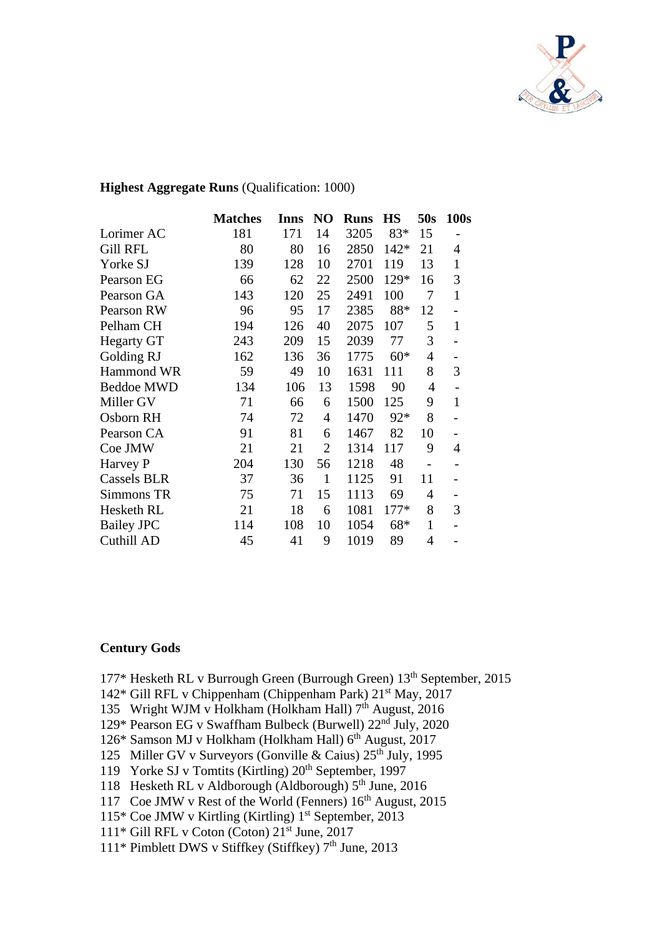

### **Highest Aggregate Runs** (Qualification: 1000)

|                   | <b>Matches</b> | Inns | N <sub>O</sub> | <b>Runs</b> | <b>HS</b> | 50s                          | 100s         |
|-------------------|----------------|------|----------------|-------------|-----------|------------------------------|--------------|
| Lorimer AC        | 181            | 171  | 14             | 3205        | 83*       | 15                           |              |
| <b>Gill RFL</b>   | 80             | 80   | 16             | 2850        | $142*$    | 21                           | 4            |
| Yorke SJ          | 139            | 128  | 10             | 2701        | 119       | 13                           | $\mathbf{1}$ |
| Pearson EG        | 66             | 62   | 22             | 2500        | 129*      | 16                           | 3            |
| Pearson GA        | 143            | 120  | 25             | 2491        | 100       | 7                            | $\mathbf{1}$ |
| Pearson RW        | 96             | 95   | 17             | 2385        | 88*       | 12                           |              |
| Pelham CH         | 194            | 126  | 40             | 2075        | 107       | 5                            | $\mathbf{1}$ |
| <b>Hegarty GT</b> | 243            | 209  | 15             | 2039        | 77        | 3                            |              |
| Golding RJ        | 162            | 136  | 36             | 1775        | $60*$     | 4                            |              |
| Hammond WR        | 59             | 49   | 10             | 1631        | 111       | 8                            | 3            |
| <b>Beddoe MWD</b> | 134            | 106  | 13             | 1598        | 90        | $\overline{4}$               |              |
| Miller GV         | 71             | 66   | 6              | 1500        | 125       | 9                            | $\mathbf{1}$ |
| Osborn RH         | 74             | 72   | 4              | 1470        | 92*       | 8                            |              |
| Pearson CA        | 91             | 81   | 6              | 1467        | 82        | 10                           |              |
| Coe JMW           | 21             | 21   | $\overline{2}$ | 1314        | 117       | 9                            | 4            |
| Harvey P          | 204            | 130  | 56             | 1218        | 48        | $\qquad \qquad \blacksquare$ |              |
| Cassels BLR       | 37             | 36   | 1              | 1125        | 91        | 11                           |              |
| Simmons TR        | 75             | 71   | 15             | 1113        | 69        | 4                            |              |
| Hesketh RL        | 21             | 18   | 6              | 1081        | $177*$    | 8                            | 3            |
| <b>Bailey JPC</b> | 114            | 108  | 10             | 1054        | 68*       | $\mathbf{1}$                 |              |
| Cuthill AD        | 45             | 41   | 9              | 1019        | 89        | 4                            |              |

#### **Century Gods**

- 177\* Hesketh RL v Burrough Green (Burrough Green) 13<sup>th</sup> September, 2015
- 142\* Gill RFL v Chippenham (Chippenham Park) 21<sup>st</sup> May, 2017
- 135 Wright WJM v Holkham (Holkham Hall)  $7<sup>th</sup>$  August, 2016
- 129\* Pearson EG v Swaffham Bulbeck (Burwell) 22nd July, 2020
- 126\* Samson MJ v Holkham (Holkham Hall) 6<sup>th</sup> August, 2017
- 125 Miller GV v Surveyors (Gonville & Caius) 25<sup>th</sup> July, 1995
- 119 Yorke SJ v Tomtits (Kirtling) 20<sup>th</sup> September, 1997
- 118 Hesketh RL v Aldborough (Aldborough)  $5<sup>th</sup>$  June, 2016
- 117 Coe JMW v Rest of the World (Fenners)  $16<sup>th</sup>$  August, 2015
- 115\* Coe JMW v Kirtling (Kirtling)  $1<sup>st</sup>$  September, 2013
- 111\* Gill RFL v Coton (Coton) 21st June, 2017
- 111\* Pimblett DWS v Stiffkey (Stiffkey) 7<sup>th</sup> June, 2013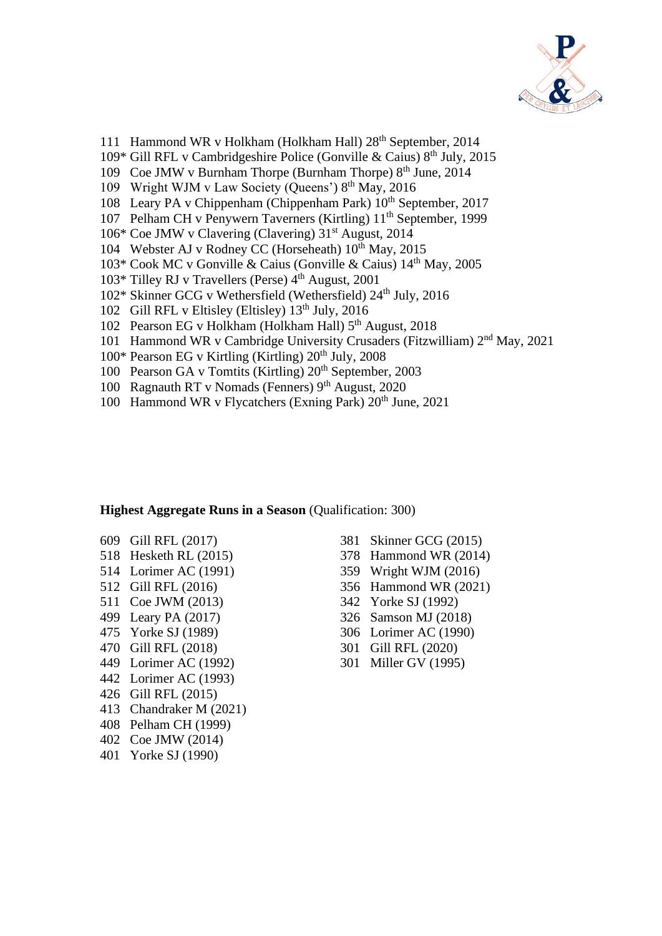

- 111 Hammond WR v Holkham (Holkham Hall) 28<sup>th</sup> September, 2014
- 109\* Gill RFL v Cambridgeshire Police (Gonville & Caius)  $8<sup>th</sup>$  July, 2015
- 109 Coe JMW v Burnham Thorpe (Burnham Thorpe) 8<sup>th</sup> June, 2014
- 109 Wright WJM v Law Society (Queens') 8<sup>th</sup> May, 2016
- 108 Leary PA v Chippenham (Chippenham Park) 10<sup>th</sup> September, 2017
- 107 Pelham CH v Penywern Taverners (Kirtling) 11<sup>th</sup> September, 1999
- 106\* Coe JMW v Clavering (Clavering) 31st August, 2014
- 104 Webster AJ v Rodney CC (Horseheath)  $10^{th}$  May, 2015
- 103\* Cook MC v Gonville & Caius (Gonville & Caius) 14th May, 2005
- $103*$  Tilley RJ v Travellers (Perse)  $4<sup>th</sup>$  August, 2001
- 102\* Skinner GCG v Wethersfield (Wethersfield) 24<sup>th</sup> July, 2016
- 102 Gill RFL v Eltisley (Eltisley) 13<sup>th</sup> July, 2016
- 102 Pearson EG v Holkham (Holkham Hall) 5<sup>th</sup> August, 2018
- 101 Hammond WR v Cambridge University Crusaders (Fitzwilliam) 2<sup>nd</sup> May, 2021
- $100*$  Pearson EG v Kirtling (Kirtling)  $20<sup>th</sup>$  July,  $2008$
- 100 Pearson GA v Tomtits (Kirtling)  $20<sup>th</sup>$  September, 2003
- 100 Ragnauth RT v Nomads (Fenners) 9<sup>th</sup> August, 2020
- 100 Hammond WR v Flycatchers (Exning Park) 20<sup>th</sup> June, 2021

#### **Highest Aggregate Runs in a Season** (Qualification: 300)

- 
- 
- 
- 
- 
- 
- 
- 
- 
- 442 Lorimer AC (1993)
- 426 Gill RFL (2015)
- 413 Chandraker M (2021)
- 408 Pelham CH (1999)
- 402 Coe JMW (2014)
- 401 Yorke SJ (1990)
- 609 Gill RFL (2017) 381 Skinner GCG (2015)
- 518 Hesketh RL (2015) 378 Hammond WR (2014)
- 514 Lorimer AC (1991) 359 Wright WJM (2016)
- 512 Gill RFL (2016) 356 Hammond WR (2021)
- 511 Coe JWM (2013) 342 Yorke SJ (1992)
- 499 Leary PA (2017) 326 Samson MJ (2018)
- 475 Yorke SJ (1989) 306 Lorimer AC (1990)
- 470 Gill RFL (2018) 301 Gill RFL (2020)
- 449 Lorimer AC (1992) 301 Miller GV (1995)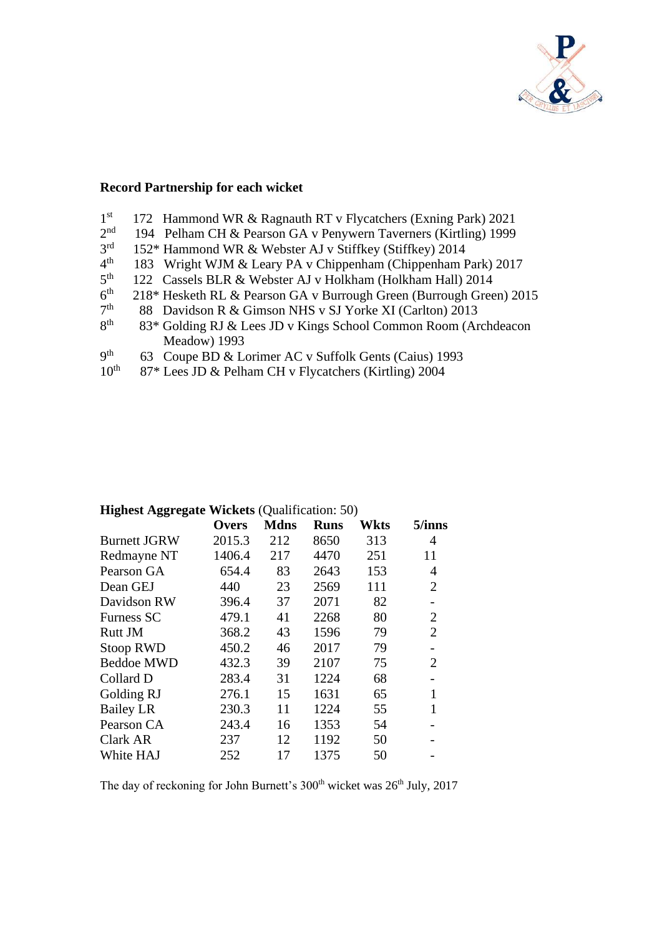

# **Record Partnership for each wicket**

| 1 <sup>st</sup>  | 172 Hammond WR & Ragnauth RT v Flycatchers (Exning Park) 2021       |
|------------------|---------------------------------------------------------------------|
| 2 <sup>nd</sup>  | 194 Pelham CH & Pearson GA v Penywern Taverners (Kirtling) 1999     |
| 3 <sup>rd</sup>  | 152* Hammond WR & Webster AJ v Stiffkey (Stiffkey) 2014             |
| $4^{\text{th}}$  | 183 Wright WJM & Leary PA v Chippenham (Chippenham Park) 2017       |
| $5^{\text{th}}$  | 122 Cassels BLR & Webster AJ v Holkham (Holkham Hall) 2014          |
| 6 <sup>th</sup>  | 218* Hesketh RL & Pearson GA v Burrough Green (Burrough Green) 2015 |
| 7 <sup>th</sup>  | 88 Davidson R & Gimson NHS v SJ Yorke XI (Carlton) 2013             |
| 8 <sup>th</sup>  | 83* Golding RJ & Lees JD v Kings School Common Room (Archdeacon     |
|                  | Meadow) 1993                                                        |
| q <sup>th</sup>  | 63 Coupe BD & Lorimer AC v Suffolk Gents (Caius) 1993               |
| 10 <sup>th</sup> | 87* Lees JD & Pelham CH v Flycatchers (Kirtling) 2004               |

|                     | Overs  | <b>Mdns</b> | <b>Runs</b> | <b>Wkts</b> | 5/inns         |
|---------------------|--------|-------------|-------------|-------------|----------------|
| <b>Burnett JGRW</b> | 2015.3 | 212         | 8650        | 313         | 4              |
| Redmayne NT         | 1406.4 | 217         | 4470        | 251         | 11             |
| Pearson GA          | 654.4  | 83          | 2643        | 153         | 4              |
| Dean GEJ            | 440    | 23          | 2569        | 111         | $\overline{2}$ |
| Davidson RW         | 396.4  | 37          | 2071        | 82          |                |
| Furness SC          | 479.1  | 41          | 2268        | 80          | $\overline{2}$ |
| Rutt JM             | 368.2  | 43          | 1596        | 79          | $\overline{2}$ |
| <b>Stoop RWD</b>    | 450.2  | 46          | 2017        | 79          |                |
| <b>Beddoe MWD</b>   | 432.3  | 39          | 2107        | 75          | $\overline{2}$ |
| Collard D           | 283.4  | 31          | 1224        | 68          |                |
| Golding RJ          | 276.1  | 15          | 1631        | 65          | $\mathbf{1}$   |
| <b>Bailey LR</b>    | 230.3  | 11          | 1224        | 55          | $\mathbf{1}$   |
| Pearson CA          | 243.4  | 16          | 1353        | 54          |                |
| Clark AR            | 237    | 12          | 1192        | 50          |                |
| White HAJ           | 252    | 17          | 1375        | 50          |                |

## **Highest Aggregate Wickets** (Qualification: 50)

The day of reckoning for John Burnett's 300<sup>th</sup> wicket was 26<sup>th</sup> July, 2017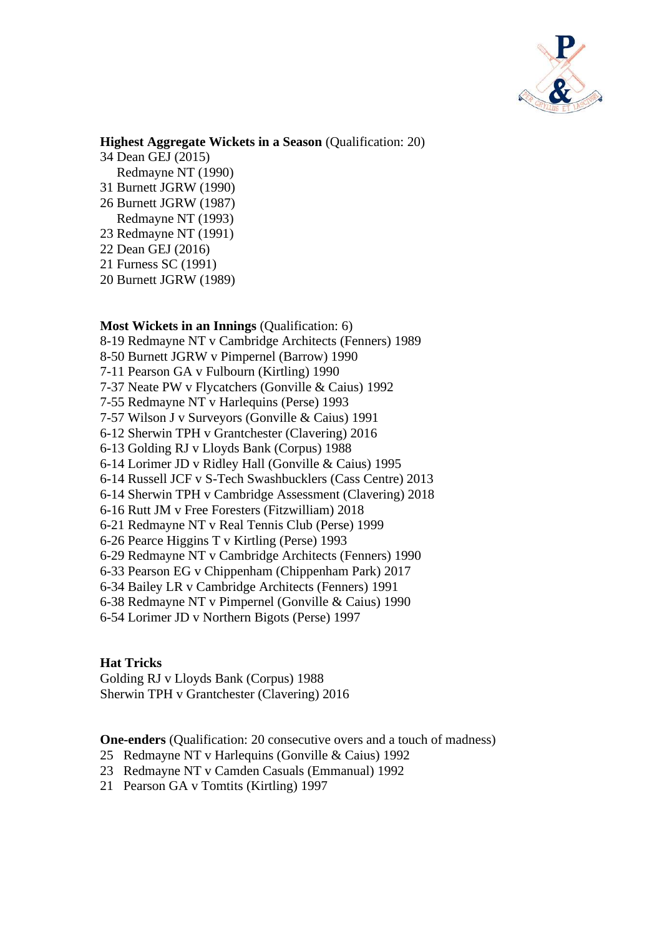

## **Highest Aggregate Wickets in a Season** (Qualification: 20)

- 34 Dean GEJ (2015) Redmayne NT (1990)
- 31 Burnett JGRW (1990)
- 26 Burnett JGRW (1987)
- Redmayne NT (1993)
- 23 Redmayne NT (1991)
- 22 Dean GEJ (2016)
- 21 Furness SC (1991)
- 20 Burnett JGRW (1989)

### **Most Wickets in an Innings** (Qualification: 6)

8-19 Redmayne NT v Cambridge Architects (Fenners) 1989 8-50 Burnett JGRW v Pimpernel (Barrow) 1990 7-11 Pearson GA v Fulbourn (Kirtling) 1990 7-37 Neate PW v Flycatchers (Gonville & Caius) 1992 7-55 Redmayne NT v Harlequins (Perse) 1993 7-57 Wilson J v Surveyors (Gonville & Caius) 1991 6-12 Sherwin TPH v Grantchester (Clavering) 2016 6-13 Golding RJ v Lloyds Bank (Corpus) 1988 6-14 Lorimer JD v Ridley Hall (Gonville & Caius) 1995 6-14 Russell JCF v S-Tech Swashbucklers (Cass Centre) 2013 6-14 Sherwin TPH v Cambridge Assessment (Clavering) 2018 6-16 Rutt JM v Free Foresters (Fitzwilliam) 2018 6-21 Redmayne NT v Real Tennis Club (Perse) 1999 6-26 Pearce Higgins T v Kirtling (Perse) 1993 6-29 Redmayne NT v Cambridge Architects (Fenners) 1990 6-33 Pearson EG v Chippenham (Chippenham Park) 2017

6-34 Bailey LR v Cambridge Architects (Fenners) 1991

6-38 Redmayne NT v Pimpernel (Gonville & Caius) 1990

6-54 Lorimer JD v Northern Bigots (Perse) 1997

## **Hat Tricks**

Golding RJ v Lloyds Bank (Corpus) 1988 Sherwin TPH v Grantchester (Clavering) 2016

**One-enders** (Qualification: 20 consecutive overs and a touch of madness)

- 25 Redmayne NT v Harlequins (Gonville & Caius) 1992
- 23 Redmayne NT v Camden Casuals (Emmanual) 1992
- 21 Pearson GA v Tomtits (Kirtling) 1997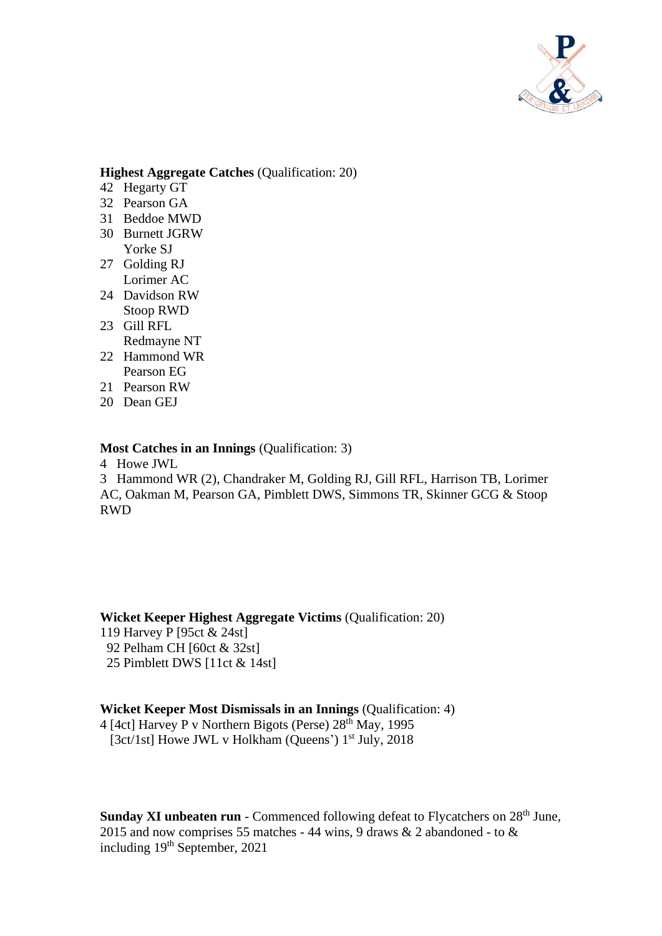

### **Highest Aggregate Catches** (Qualification: 20)

- 42 Hegarty GT
- 32 Pearson GA
- 31 Beddoe MWD
- 30 Burnett JGRW Yorke SJ
- 27 Golding RJ Lorimer AC
- 24 Davidson RW Stoop RWD
- 23 Gill RFL
- Redmayne NT 22 Hammond WR
- Pearson EG
- 21 Pearson RW
- 20 Dean GEJ

#### **Most Catches in an Innings** (Qualification: 3)

4 Howe JWL

3 Hammond WR (2), Chandraker M, Golding RJ, Gill RFL, Harrison TB, Lorimer AC, Oakman M, Pearson GA, Pimblett DWS, Simmons TR, Skinner GCG & Stoop RWD

**Wicket Keeper Highest Aggregate Victims** (Qualification: 20)

- 119 Harvey P [95ct & 24st]
- 92 Pelham CH [60ct & 32st] 25 Pimblett DWS [11ct & 14st]

#### **Wicket Keeper Most Dismissals in an Innings** (Qualification: 4)

4 [4ct] Harvey P v Northern Bigots (Perse)  $28<sup>th</sup>$  May, 1995 [3ct/1st] Howe JWL v Holkham (Queens')  $1<sup>st</sup>$  July, 2018

**Sunday XI unbeaten run** - Commenced following defeat to Flycatchers on 28<sup>th</sup> June, 2015 and now comprises 55 matches - 44 wins, 9 draws  $& 2$  abandoned - to  $& 2$ including 19th September, 2021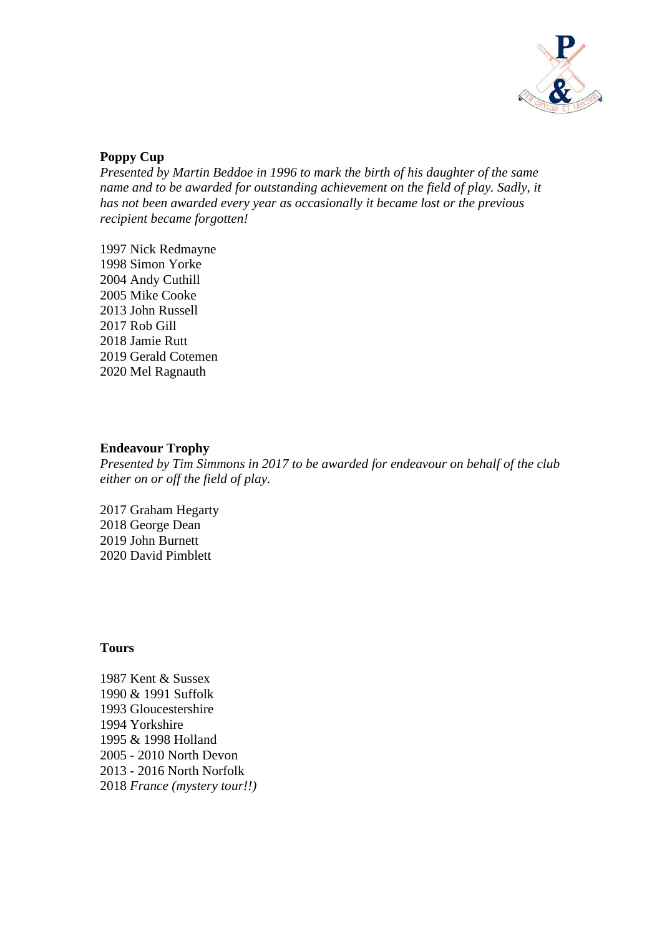

## **Poppy Cup**

*Presented by Martin Beddoe in 1996 to mark the birth of his daughter of the same name and to be awarded for outstanding achievement on the field of play. Sadly, it has not been awarded every year as occasionally it became lost or the previous recipient became forgotten!*

1997 Nick Redmayne 1998 Simon Yorke 2004 Andy Cuthill 2005 Mike Cooke 2013 John Russell 2017 Rob Gill 2018 Jamie Rutt 2019 Gerald Cotemen 2020 Mel Ragnauth

### **Endeavour Trophy**

*Presented by Tim Simmons in 2017 to be awarded for endeavour on behalf of the club either on or off the field of play.*

2017 Graham Hegarty 2018 George Dean 2019 John Burnett 2020 David Pimblett

#### **Tours**

1987 Kent & Sussex 1990 & 1991 Suffolk 1993 Gloucestershire 1994 Yorkshire 1995 & 1998 Holland 2005 - 2010 North Devon 2013 - 2016 North Norfolk 2018 *France (mystery tour!!)*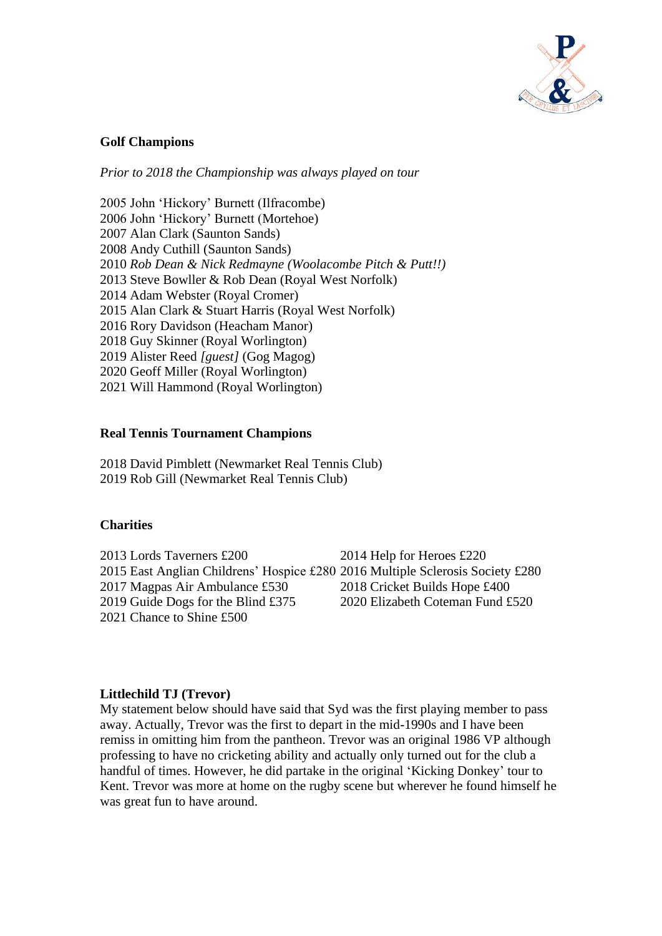

### **Golf Champions**

*Prior to 2018 the Championship was always played on tour*

2005 John 'Hickory' Burnett (Ilfracombe) 2006 John 'Hickory' Burnett (Mortehoe) 2007 Alan Clark (Saunton Sands) 2008 Andy Cuthill (Saunton Sands) 2010 *Rob Dean & Nick Redmayne (Woolacombe Pitch & Putt!!)* 2013 Steve Bowller & Rob Dean (Royal West Norfolk) 2014 Adam Webster (Royal Cromer) 2015 Alan Clark & Stuart Harris (Royal West Norfolk) 2016 Rory Davidson (Heacham Manor) 2018 Guy Skinner (Royal Worlington) 2019 Alister Reed *[guest]* (Gog Magog) 2020 Geoff Miller (Royal Worlington) 2021 Will Hammond (Royal Worlington)

### **Real Tennis Tournament Champions**

2018 David Pimblett (Newmarket Real Tennis Club) 2019 Rob Gill (Newmarket Real Tennis Club)

#### **Charities**

2013 Lords Taverners £200 2014 Help for Heroes £220 2015 East Anglian Childrens' Hospice £280 2016 Multiple Sclerosis Society £280 2017 Magpas Air Ambulance £530 2018 Cricket Builds Hope £400 2019 Guide Dogs for the Blind £375 2020 Elizabeth Coteman Fund £520 2021 Chance to Shine £500

#### **Littlechild TJ (Trevor)**

My statement below should have said that Syd was the first playing member to pass away. Actually, Trevor was the first to depart in the mid-1990s and I have been remiss in omitting him from the pantheon. Trevor was an original 1986 VP although professing to have no cricketing ability and actually only turned out for the club a handful of times. However, he did partake in the original 'Kicking Donkey' tour to Kent. Trevor was more at home on the rugby scene but wherever he found himself he was great fun to have around.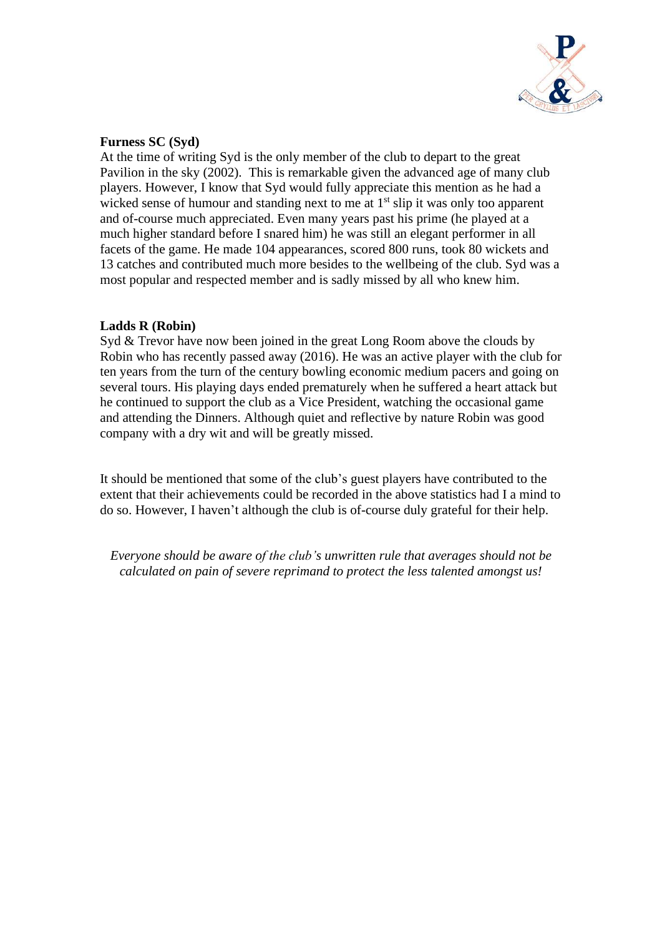

### **Furness SC (Syd)**

At the time of writing Syd is the only member of the club to depart to the great Pavilion in the sky (2002). This is remarkable given the advanced age of many club players. However, I know that Syd would fully appreciate this mention as he had a wicked sense of humour and standing next to me at  $1<sup>st</sup>$  slip it was only too apparent and of-course much appreciated. Even many years past his prime (he played at a much higher standard before I snared him) he was still an elegant performer in all facets of the game. He made 104 appearances, scored 800 runs, took 80 wickets and 13 catches and contributed much more besides to the wellbeing of the club. Syd was a most popular and respected member and is sadly missed by all who knew him.

## **Ladds R (Robin)**

Syd & Trevor have now been joined in the great Long Room above the clouds by Robin who has recently passed away (2016). He was an active player with the club for ten years from the turn of the century bowling economic medium pacers and going on several tours. His playing days ended prematurely when he suffered a heart attack but he continued to support the club as a Vice President, watching the occasional game and attending the Dinners. Although quiet and reflective by nature Robin was good company with a dry wit and will be greatly missed.

It should be mentioned that some of the club's guest players have contributed to the extent that their achievements could be recorded in the above statistics had I a mind to do so. However, I haven't although the club is of-course duly grateful for their help.

*Everyone should be aware of the club's unwritten rule that averages should not be calculated on pain of severe reprimand to protect the less talented amongst us!*